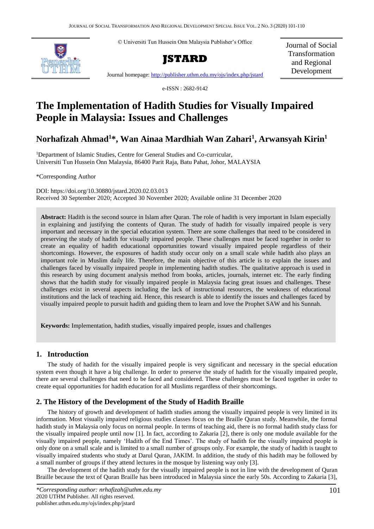© Universiti Tun Hussein Onn Malaysia Publisher's Office





Journal of Social Transformation and Regional Development

Journal homepage:<http://publisher.uthm.edu.my/ojs/index.php/jstard>

e-ISSN : 2682-9142

# **The Implementation of Hadith Studies for Visually Impaired People in Malaysia: Issues and Challenges**

# **Norhafizah Ahmad<sup>1</sup>\*, Wan Ainaa Mardhiah Wan Zahari<sup>1</sup> , Arwansyah Kirin<sup>1</sup>**

<sup>1</sup>Department of Islamic Studies, Centre for General Studies and Co-curricular, Universiti Tun Hussein Onn Malaysia, 86400 Parit Raja, Batu Pahat, Johor, MALAYSIA

\*Corresponding Author

DOI: https://doi.org/10.30880/jstard.2020.02.03.013 Received 30 September 2020; Accepted 30 November 2020; Available online 31 December 2020

**Abstract:** Hadith is the second source in Islam after Quran. The role of hadith is very important in Islam especially in explaining and justifying the contents of Quran. The study of hadith for visually impaired people is very important and necessary in the special education system. There are some challenges that need to be considered in preserving the study of hadith for visually impaired people. These challenges must be faced together in order to create an equality of hadith educational opportunities toward visually impaired people regardless of their shortcomings. However, the exposures of hadith study occur only on a small scale while hadith also plays an important role in Muslim daily life. Therefore, the main objective of this article is to explain the issues and challenges faced by visually impaired people in implementing hadith studies. The qualitative approach is used in this research by using document analysis method from books, articles, journals, internet etc. The early finding shows that the hadith study for visually impaired people in Malaysia facing great issues and challenges. These challenges exist in several aspects including the lack of instructional resources, the weakness of educational institutions and the lack of teaching aid. Hence, this research is able to identify the issues and challenges faced by visually impaired people to pursuit hadith and guiding them to learn and love the Prophet SAW and his Sunnah.

**Keywords:** Implementation, hadith studies, visually impaired people, issues and challenges

## **1. Introduction**

The study of hadith for the visually impaired people is very significant and necessary in the special education system even though it have a big challenge. In order to preserve the study of hadith for the visually impaired people, there are several challenges that need to be faced and considered. These challenges must be faced together in order to create equal opportunities for hadith education for all Muslims regardless of their shortcomings.

## **2. The History of the Development of the Study of Hadith Braille**

The history of growth and development of hadith studies among the visually impaired people is very limited in its information. Most visually impaired religious studies classes focus on the Braille Quran study. Meanwhile, the formal hadith study in Malaysia only focus on normal people. In terms of teaching aid, there is no formal hadith study class for the visually impaired people until now [1]. In fact, according to Zakaria [2], there is only one module available for the visually impaired people, namely 'Hadith of the End Times'. The study of hadith for the visually impaired people is only done on a small scale and is limited to a small number of groups only. For example, the study of hadith is taught to visually impaired students who study at Darul Quran, JAKIM. In addition, the study of this hadith may be followed by a small number of groups if they attend lectures in the mosque by listening way only [3].

The development of the hadith study for the visually impaired people is not in line with the development of Quran Braille because the text of Quran Braille has been introduced in Malaysia since the early 50s. According to Zakaria [3],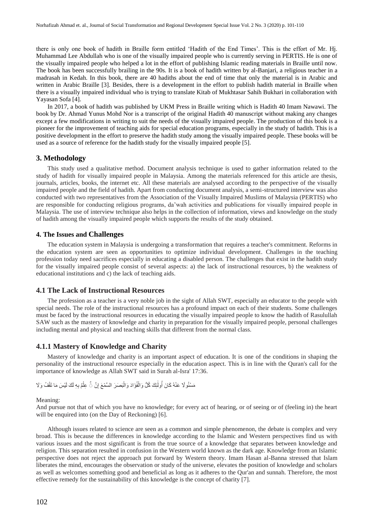there is only one book of hadith in Braille form entitled 'Hadith of the End Times'. This is the effort of Mr. Hj. Muhammad Lee Abdullah who is one of the visually impaired people who is currently serving in PERTIS. He is one of the visually impaired people who helped a lot in the effort of publishing Islamic reading materials in Braille until now. The book has been successfully brailing in the 90s. It is a book of hadith written by al-Banjari, a religious teacher in a madrasah in Kedah. In this book, there are 40 hadiths about the end of time that only the material is in Arabic and written in Arabic Braille [3]. Besides, there is a development in the effort to publish hadith material in Braille when there is a visually impaired individual who is trying to translate Kitab of Mukhtasar Sahih Bukhari in collaboration with Yayasan Sofa [4].

In 2017, a book of hadith was published by UKM Press in Braille writing which is Hadith 40 Imam Nawawi. The book by Dr. Ahmad Yunus Mohd Nor is a transcript of the original Hadith 40 manuscript without making any changes except a few modifications in writing to suit the needs of the visually impaired people. The production of this book is a pioneer for the improvement of teaching aids for special education programs, especially in the study of hadith. This is a positive development in the effort to preserve the hadith study among the visually impaired people. These books will be used as a source of reference for the hadith study for the visually impaired people [5].

#### **3. Methodology**

This study used a qualitative method. Document analysis technique is used to gather information related to the study of hadith for visually impaired people in Malaysia. Among the materials referenced for this article are thesis, journals, articles, books, the internet etc. All these materials are analysed according to the perspective of the visually impaired people and the field of hadith. Apart from conducting document analysis, a semi-structured interview was also conducted with two representatives from the Association of the Visually Impaired Muslims of Malaysia (PERTIS) who are responsible for conducting religious programs, da'wah activities and publications for visually impaired people in Malaysia. The use of interview technique also helps in the collection of information, views and knowledge on the study of hadith among the visually impaired people which supports the results of the study obtained.

### **4. The Issues and Challenges**

The education system in Malaysia is undergoing a transformation that requires a teacher's commitment. Reforms in the education system are seen as opportunities to optimize individual development. Challenges in the teaching profession today need sacrifices especially in educating a disabled person. The challenges that exist in the hadith study for the visually impaired people consist of several aspects: a) the lack of instructional resources, b) the weakness of educational institutions and c) the lack of teaching aids.

#### **4.1 The Lack of Instructional Resources**

The profession as a teacher is a very noble job in the sight of Allah SWT, especially an educator to the people with special needs. The role of the instructional resources has a profound impact on each of their students. Some challenges must be faced by the instructional resources in educating the visually impaired people to know the hadith of Rasulullah SAW such as the mastery of knowledge and charity in preparation for the visually impaired people, personal challenges including mental and physical and teaching skills that different from the normal class.

#### **4.1.1 Mastery of Knowledge and Charity**

Mastery of knowledge and charity is an important aspect of education. It is one of the conditions in shaping the personality of the instructional resource especially in the education aspect. This is in line with the Quran's call for the importance of knowledge as Allah SWT said in Surah al-Isra' 17:36.

#### مَسْئُو لَا عَنْهُ كَانَ أُولَٰئِكَ كُلُّ وَالْفُوَّادَ وَالْبَصَرَ السَّمْعَ إِنَّ ۞ عِلْمٌ بِهِ لَكَ لَيْسَ مَا تَقْفُ وَلَا ْ ِ ْ ْ َٰ

#### Meaning:

And pursue not that of which you have no knowledge; for every act of hearing, or of seeing or of (feeling in) the heart will be enquired into (on the Day of Reckoning) [6].

Although issues related to science are seen as a common and simple phenomenon, the debate is complex and very broad. This is because the differences in knowledge according to the Islamic and Western perspectives find us with various issues and the most significant is from the true source of a knowledge that separates between knowledge and religion. This separation resulted in confusion in the Western world known as the dark age. Knowledge from an Islamic perspective does not reject the approach put forward by Western theory. Imam Hasan al-Banna stressed that Islam liberates the mind, encourages the observation or study of the universe, elevates the position of knowledge and scholars as well as welcomes something good and beneficial as long as it adheres to the Qur'an and sunnah. Therefore, the most effective remedy for the sustainability of this knowledge is the concept of charity [7].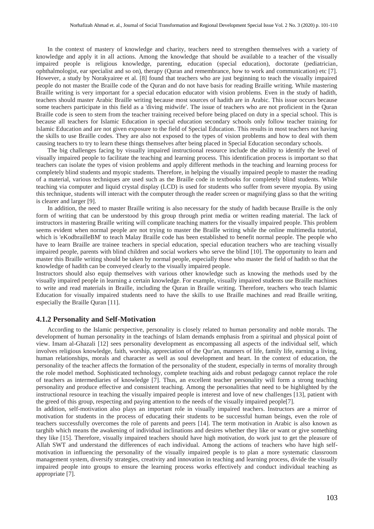In the context of mastery of knowledge and charity, teachers need to strengthen themselves with a variety of knowledge and apply it in all actions. Among the knowledge that should be available to a teacher of the visually impaired people is religious knowledge, parenting, education (special education), doctorate (pediatrician, ophthalmologist, ear specialist and so on), therapy (Quran and remembrance, how to work and communication) etc [7]. However, a study by Norakyairee et al. [8] found that teachers who are just beginning to teach the visually impaired people do not master the Braille code of the Quran and do not have basis for reading Braille writing. While mastering Braille writing is very important for a special education educator with vision problems. Even in the study of hadith, teachers should master Arabic Braille writing because most sources of hadith are in Arabic. This issue occurs because some teachers participate in this field as a 'diving midwife'. The issue of teachers who are not proficient in the Quran Braille code is seen to stem from the teacher training received before being placed on duty in a special school. This is because all teachers for Islamic Education in special education secondary schools only follow teacher training for Islamic Education and are not given exposure to the field of Special Education. This results in most teachers not having the skills to use Braille codes. They are also not exposed to the types of vision problems and how to deal with them causing teachers to try to learn these things themselves after being placed in Special Education secondary schools.

The big challenges facing by visually impaired instructional resource include the ability to identify the level of visually impaired people to facilitate the teaching and learning process. This identification process is important so that teachers can isolate the types of vision problems and apply different methods in the teaching and learning process for completely blind students and myopic students. Therefore, in helping the visually impaired people to master the reading of a material, various techniques are used such as the Braille code in textbooks for completely blind students. While teaching via computer and liquid crystal display (LCD) is used for students who suffer from severe myopia. By using this technique, students will interact with the computer through the reader screen or magnifying glass so that the writing is clearer and larger [9].

In addition, the need to master Braille writing is also necessary for the study of hadith because Braille is the only form of writing that can be understood by this group through print media or written reading material. The lack of instructors in mastering Braille writing will complicate teaching matters for the visually impaired people. This problem seems evident when normal people are not trying to master the Braille writing while the online multimedia tutorial, which is 'eKodbrailleBM' to teach Malay Braille code has been established to benefit normal people. The people who have to learn Braille are trainee teachers in special education, special education teachers who are teaching visually impaired people, parents with blind children and social workers who serve the blind [10]. The opportunity to learn and master this Braille writing should be taken by normal people, especially those who master the field of hadith so that the knowledge of hadith can be conveyed clearly to the visually impaired people.

Instructors should also equip themselves with various other knowledge such as knowing the methods used by the visually impaired people in learning a certain knowledge. For example, visually impaired students use Braille machines to write and read materials in Braille, including the Quran in Braille writing. Therefore, teachers who teach Islamic Education for visually impaired students need to have the skills to use Braille machines and read Braille writing, especially the Braille Quran [11].

#### **4.1.2 Personality and Self-Motivation**

According to the Islamic perspective, personality is closely related to human personality and noble morals. The development of human personality in the teachings of Islam demands emphasis from a spiritual and physical point of view. Imam al-Ghazali [12] sees personality development as encompassing all aspects of the individual self, which involves religious knowledge, faith, worship, appreciation of the Qur'an, manners of life, family life, earning a living, human relationships, morals and character as well as soul development and heart. In the context of education, the personality of the teacher affects the formation of the personality of the student, especially in terms of morality through the role model method. Sophisticated technology, complete teaching aids and robust pedagogy cannot replace the role of teachers as intermediaries of knowledge [7]. Thus, an excellent teacher personality will form a strong teaching personality and produce effective and consistent teaching. Among the personalities that need to be highlighted by the instructional resource in teaching the visually impaired people is interest and love of new challenges [13], patient with the greed of this group, respecting and paying attention to the needs of the visually impaired people[7].

In addition, self-motivation also plays an important role in visually impaired teachers. Instructors are a mirror of motivation for students in the process of educating their students to be successful human beings, even the role of teachers successfully overcomes the role of parents and peers [14]. The term motivation in Arabic is also known as targhib which means the awakening of individual inclinations and desires whether they like or want or give something they like [15]. Therefore, visually impaired teachers should have high motivation, do work just to get the pleasure of Allah SWT and understand the differences of each individual. Among the actions of teachers who have high selfmotivation in influencing the personality of the visually impaired people is to plan a more systematic classroom management system, diversify strategies, creativity and innovation in teaching and learning process, divide the visually impaired people into groups to ensure the learning process works effectively and conduct individual teaching as appropriate [7].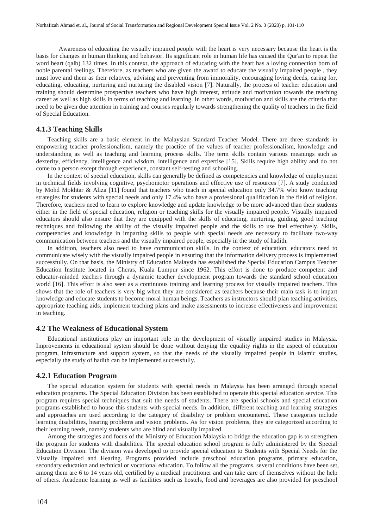Awareness of educating the visually impaired people with the heart is very necessary because the heart is the basis for changes in human thinking and behavior. Its significant role in human life has caused the Qur'an to repeat the word heart (qalb) 132 times. In this context, the approach of educating with the heart has a loving connection born of noble parental feelings. Therefore, as teachers who are given the award to educate the visually impaired people , they must love and them as their relatives, advising and preventing from immorality, encouraging loving deeds, caring for, educating, educating, nurturing and nurturing the disabled vision [7]. Naturally, the process of teacher education and training should determine prospective teachers who have high interest, attitude and motivation towards the teaching career as well as high skills in terms of teaching and learning. In other words, motivation and skills are the criteria that need to be given due attention in training and courses regularly towards strengthening the quality of teachers in the field of Special Education.

#### **4.1.3 Teaching Skills**

Teaching skills are a basic element in the Malaysian Standard Teacher Model. There are three standards in empowering teacher professionalism, namely the practice of the values of teacher professionalism, knowledge and understanding as well as teaching and learning process skills. The term skills contain various meanings such as dexterity, efficiency, intelligence and wisdom, intelligence and expertise [15]. Skills require high ability and do not come to a person except through experience, constant self-testing and schooling.

In the context of special education, skills can generally be defined as competencies and knowledge of employment in technical fields involving cognitive, psychomotor operations and effective use of resources [7]. A study conducted by Mohd Mokhtar & Aliza [11] found that teachers who teach in special education only 34.7% who know teaching strategies for students with special needs and only 17.4% who have a professional qualification in the field of religion. Therefore, teachers need to learn to explore knowledge and update knowledge to be more advanced than their students either in the field of special education, religion or teaching skills for the visually impaired people. Visually impaired educators should also ensure that they are equipped with the skills of educating, nurturing, guiding, good teaching techniques and following the ability of the visually impaired people and the skills to use fuel effectively. Skills, competencies and knowledge in imparting skills to people with special needs are necessary to facilitate two-way communication between teachers and the visually impaired people, especially in the study of hadith.

In addition, teachers also need to have communication skills. In the context of education, educators need to communicate wisely with the visually impaired people in ensuring that the information delivery process is implemented successfully. On that basis, the Ministry of Education Malaysia has established the Special Education Campus Teacher Education Institute located in Cheras, Kuala Lumpur since 1962. This effort is done to produce competent and educator-minded teachers through a dynamic teacher development program towards the standard school education world [16]. This effort is also seen as a continuous training and learning process for visually impaired teachers. This shows that the role of teachers is very big when they are considered as teachers because their main task is to impart knowledge and educate students to become moral human beings. Teachers as instructors should plan teaching activities, appropriate teaching aids, implement teaching plans and make assessments to increase effectiveness and improvement in teaching.

### **4.2 The Weakness of Educational System**

Educational institutions play an important role in the development of visually impaired studies in Malaysia. Improvements in educational system should be done without denying the equality rights in the aspect of education program, infrastructure and support system, so that the needs of the visually impaired people in Islamic studies, especially the study of hadith can be implemented successfully.

#### **4.2.1 Education Program**

The special education system for students with special needs in Malaysia has been arranged through special education programs. The Special Education Division has been established to operate this special education service. This program requires special techniques that suit the needs of students. There are special schools and special education programs established to house this students with special needs. In addition, different teaching and learning strategies and approaches are used according to the category of disability or problem encountered. These categories include learning disabilities, hearing problems and vision problems. As for vision problems, they are categorized according to their learning needs, namely students who are blind and visually impaired.

Among the strategies and focus of the Ministry of Education Malaysia to bridge the education gap is to strengthen the program for students with disabilities. The special education school program is fully administered by the Special Education Division. The division was developed to provide special education to Students with Special Needs for the Visually Impaired and Hearing. Programs provided include preschool education programs, primary education, secondary education and technical or vocational education. To follow all the programs, several conditions have been set, among them are 6 to 14 years old, certified by a medical practitioner and can take care of themselves without the help of others. Academic learning as well as facilities such as hostels, food and beverages are also provided for preschool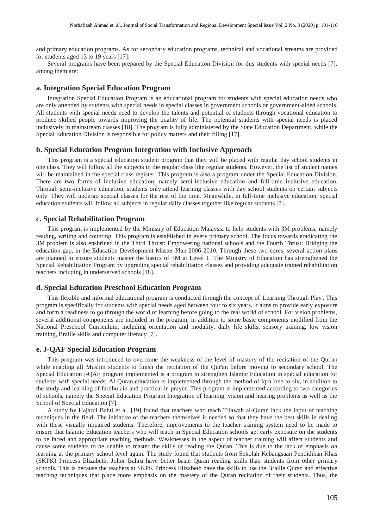and primary education programs. As for secondary education programs, technical and vocational streams are provided for students aged 13 to 19 years [17].

Several programs have been prepared by the Special Education Division for this students with special needs [7], among them are:

#### **a. Integration Special Education Program**

Integration Special Education Program is an educational program for students with special education needs who are only attended by students with special needs in special classes in government schools or government-aided schools. All students with special needs need to develop the talents and potential of students through vocational education to produce skilled people towards improving the quality of life. The potential students with special needs is placed inclusively in mainstream classes [18]. The program is fully administered by the State Education Department, while the Special Education Division is responsible for policy matters and their filling [17].

#### **b. Special Education Program Integration with Inclusive Approach**

This program is a special education student program that they will be placed with regular day school students in one class. They will follow all the subjects in the regular class like regular students. However, the list of student names will be maintained in the special class register. This program is also a program under the Special Education Division. There are two forms of inclusive education, namely semi-inclusive education and full-time inclusive education. Through semi-inclusive education, students only attend learning classes with day school students on certain subjects only. They will undergo special classes for the rest of the time. Meanwhile, in full-time inclusive education, special education students will follow all subjects in regular daily classes together like regular students [7].

### **c. Special Rehabilitation Program**

This program is implemented by the Ministry of Education Malaysia to help students with 3M problems, namely reading, writing and counting. This program is established in every primary school. The focus towards eradicating the 3M problem is also enshrined in the Third Thrust: Empowering national schools and the Fourth Thrust: Bridging the education gap, in the Education Development Master Plan 2006-2010. Through these two cores, several action plans are planned to ensure students master the basics of 3M at Level 1. The Ministry of Education has strengthened the Special Rehabilitation Program by upgrading special rehabilitation classes and providing adequate trained rehabilitation teachers including in underserved schools [18].

### **d. Special Education Preschool Education Program**

This flexible and informal educational program is conducted through the concept of 'Learning Through Play'. This program is specifically for students with special needs aged between four to six years. It aims to provide early exposure and form a readiness to go through the world of learning before going to the real world of school. For vision problems, several additional components are included in the program, in addition to some basic components modified from the National Preschool Curriculum, including orientation and modality, daily life skills, sensory training, low vision training, Braille skills and computer literacy [7].

#### **e. J-QAF Special Education Program**

This program was introduced to overcome the weakness of the level of mastery of the recitation of the Qur'an while enabling all Muslim students to finish the recitation of the Qur'an before moving to secondary school. The Special Education j-QAF program implemented is a program to strengthen Islamic Education in special education for students with special needs. Al-Quran education is implemented through the method of Iqra 'one to six, in addition to the study and learning of fardhu ain and practical in prayer. This program is implemented according to two categories of schools, namely the Special Education Program Integration of learning, vision and hearing problems as well as the School of Special Education [7].

A study by Hajarul Bahti et al. [19] found that teachers who teach Tilawah al-Quran lack the input of teaching techniques in the field. The initiative of the teachers themselves is needed so that they have the best skills in dealing with these visually impaired students. Therefore, improvements to the teacher training system need to be made to ensure that Islamic Education teachers who will teach in Special Education schools get early exposure on the students to be faced and appropriate teaching methods. Weaknesses in the aspect of teacher training will affect students and cause some students to be unable to master the skills of reading the Quran. This is due to the lack of emphasis on learning at the primary school level again. The study found that students from Sekolah Kebangsaan Pendidikan Khas (SKPK) Princess Elizabeth, Johor Bahru have better basic Quran reading skills than students from other primary schools. This is because the teachers at SKPK Princess Elizabeth have the skills to use the Braille Quran and effective teaching techniques that place more emphasis on the mastery of the Quran recitation of their students. Thus, the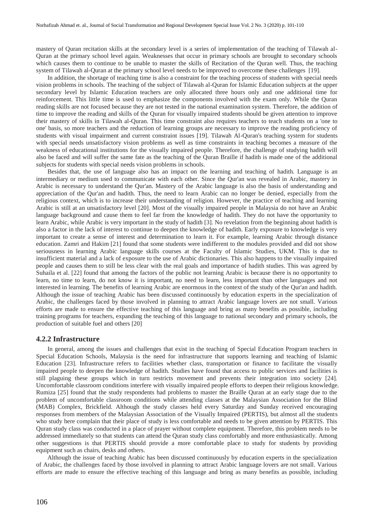mastery of Quran recitation skills at the secondary level is a series of implementation of the teaching of Tilawah al-Quran at the primary school level again. Weaknesses that occur in primary schools are brought to secondary schools which causes them to continue to be unable to master the skills of Recitation of the Quran well. Thus, the teaching system of Tilawah al-Quran at the primary school level needs to be improved to overcome these challenges [19].

In addition, the shortage of teaching time is also a constraint for the teaching process of students with special needs vision problems in schools. The teaching of the subject of Tilawah al-Quran for Islamic Education subjects at the upper secondary level by Islamic Education teachers are only allocated three hours only and one additional time for reinforcement. This little time is used to emphasize the components involved with the exam only. While the Quran reading skills are not focused because they are not tested in the national examination system. Therefore, the addition of time to improve the reading and skills of the Quran for visually impaired students should be given attention to improve their mastery of skills in Tilawah al-Quran. This time constraint also requires teachers to teach students on a 'one to one' basis, so more teachers and the reduction of learning groups are necessary to improve the reading proficiency of students with visual impairment and current constraint issues [19]. Tilawah Al-Quran's teaching system for students with special needs unsatisfactory vision problems as well as time constraints in teaching becomes a measure of the weakness of educational institutions for the visually impaired people. Therefore, the challenge of studying hadith will also be faced and will suffer the same fate as the teaching of the Quran Braille if hadith is made one of the additional subjects for students with special needs vision problems in schools.

Besides that, the use of language also has an impact on the learning and teaching of hadith. Language is an intermediary or medium used to communicate with each other. Since the Qur'an was revealed in Arabic, mastery in Arabic is necessary to understand the Qur'an. Mastery of the Arabic language is also the basis of understanding and appreciation of the Qur'an and hadith. Thus, the need to learn Arabic can no longer be denied, especially from the religious context, which is to increase their understanding of religion. However, the practice of teaching and learning Arabic is still at an unsatisfactory level [20]. Most of the visually impaired people in Malaysia do not have an Arabic language background and cause them to feel far from the knowledge of hadith. They do not have the opportunity to learn Arabic, while Arabic is very important in the study of hadith [3]. No revelation from the beginning about hadith is also a factor in the lack of interest to continue to deepen the knowledge of hadith. Early exposure to knowledge is very important to create a sense of interest and determination to learn it. For example, learning Arabic through distance education. Zamri and Hakim [21] found that some students were indifferent to the modules provided and did not show seriousness in learning Arabic language skills courses at the Faculty of Islamic Studies, UKM. This is due to insufficient material and a lack of exposure to the use of Arabic dictionaries. This also happens to the visually impaired people and causes them to still be less clear with the real goals and importance of hadith studies. This was agreed by Suhaila et al. [22] found that among the factors of the public not learning Arabic is because there is no opportunity to learn, no time to learn, do not know it is important, no need to learn, less important than other languages and not interested in learning. The benefits of learning Arabic are enormous in the context of the study of the Qur'an and hadith. Although the issue of teaching Arabic has been discussed continuously by education experts in the specialization of Arabic, the challenges faced by those involved in planning to attract Arabic language lovers are not small. Various efforts are made to ensure the effective teaching of this language and bring as many benefits as possible, including training programs for teachers, expanding the teaching of this language to national secondary and primary schools, the production of suitable fuel and others [20]

#### **4.2.2 Infrastructure**

In general, among the issues and challenges that exist in the teaching of Special Education Program teachers in Special Education Schools, Malaysia is the need for infrastructure that supports learning and teaching of Islamic Education [23]. Infrastructure refers to facilities whether class, transportation or finance to facilitate the visually impaired people to deepen the knowledge of hadith. Studies have found that access to public services and facilities is still plaguing these groups which in turn restricts movement and prevents their integration into society [24]. Uncomfortable classroom conditions interfere with visually impaired people efforts to deepen their religious knowledge. Rumiza [25] found that the study respondents had problems to master the Braille Quran at an early stage due to the problem of uncomfortable classroom conditions while attending classes at the Malaysian Association for the Blind (MAB) Complex, Brickfield. Although the study classes held every Saturday and Sunday received encouraging responses from members of the Malaysian Association of the Visually Impaired (PERTIS), but almost all the students who study here complain that their place of study is less comfortable and needs to be given attention by PERTIS. This Quran study class was conducted in a place of prayer without complete equipment. Therefore, this problem needs to be addressed immediately so that students can attend the Quran study class comfortably and more enthusiastically. Among other suggestions is that PERTIS should provide a more comfortable place to study for students by providing equipment such as chairs, desks and others.

Although the issue of teaching Arabic has been discussed continuously by education experts in the specialization of Arabic, the challenges faced by those involved in planning to attract Arabic language lovers are not small. Various efforts are made to ensure the effective teaching of this language and bring as many benefits as possible, including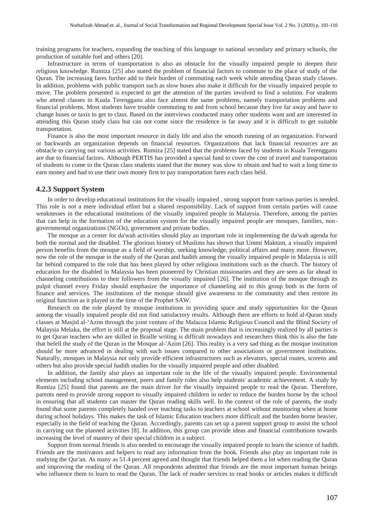training programs for teachers, expanding the teaching of this language to national secondary and primary schools, the production of suitable fuel and others [20].

Infrastructure in terms of transportation is also an obstacle for the visually impaired people to deepen their religious knowledge. Rumiza [25] also stated the problem of financial factors to commute to the place of study of the Quran. The increasing fares further add to their burden of commuting each week while attending Quran study classes. In addition, problems with public transport such as slow buses also make it difficult for the visually impaired people to move. The problem presented is expected to get the attention of the parties involved to find a solution. For students who attend classes in Kuala Terengganu also face almost the same problems, namely transportation problems and financial problems. Most students have trouble commuting to and from school because they live far away and have to change buses or taxis to get to class. Based on the interviews conducted many other students want and are interested in attending this Quran study class but can not come since the residence is far away and it is difficult to get suitable transportation.

Finance is also the most important resource in daily life and also the smooth running of an organization. Forward or backwards an organization depends on financial resources. Organizations that lack financial resources are an obstacle to carrying out various activities. Rumiza [25] stated that the problems faced by students in Kuala Terengganu are due to financial factors. Although PERTIS has provided a special fund to cover the cost of travel and transportation of students to come to the Quran class students stated that the money was slow to obtain and had to wait a long time to earn money and had to use their own money first to pay transportation fares each class held.

### **4.2.3 Support System**

In order to develop educational institutions for the visually impaired , strong support from various parties is needed. This role is not a mere individual effort but a shared responsibility. Lack of support from certain parties will cause weaknesses in the educational institutions of the visually impaired people in Malaysia. Therefore, among the parties that can help in the formation of the education system for the visually impaired people are mosques, families, nongovernmental organizations (NGOs), government and private bodies.

The mosque as a center for da'wah activities should play an important role in implementing the da'wah agenda for both the normal and the disabled. The glorious history of Muslims has shown that Ummi Maktum, a visually impaired person benefits from the mosque as a field of worship, seeking knowledge, political affairs and many more. However, now the role of the mosque in the study of the Quran and hadith among the visually impaired people in Malaysia is still far behind compared to the role that has been played by other religious institutions such as the church. The history of education for the disabled in Malaysia has been pioneered by Christian missionaries and they are seen as far ahead in channeling contributions to their followers from the visually impaired [26]. The institution of the mosque through its pulpit channel every Friday should emphasize the importance of channeling aid to this group both in the form of finance and services. The institutions of the mosque should give awareness to the community and then restore its original function as it played in the time of the Prophet SAW.

Research on the role played by mosque institutions in providing space and study opportunities for the Quran among the visually impaired people did not find satisfactory results. Although there are efforts to hold al-Quran study classes at Masjid al-'Azim through the joint venture of the Malacca Islamic Religious Council and the Blind Society of Malaysia Melaka, the effort is still at the proposal stage. The main problem that is increasingly realized by all parties is to get Quran teachers who are skilled in Braille writing is difficult nowadays and researchers think this is also the fate that befell the study of the Quran in the Mosque al-'Azim [26]. This reality is a very sad thing as the mosque institution should be more advanced in dealing with such issues compared to other associations or government institutions. Naturally, mosques in Malaysia not only provide efficient infrastructures such as elevators, special routes, screens and others but also provide special hadith studies for the visually impaired people and other disabled.

In addition, the family also plays an important role in the life of the visually impaired people. Environmental elements including school management, peers and family roles also help students' academic achievement. A study by Rumiza [25] found that parents are the main driver for the visually impaired people to read the Quran. Therefore, parents need to provide strong support to visually impaired children in order to reduce the burden borne by the school in ensuring that all students can master the Quran reading skills well. In the context of the role of parents, the study found that some parents completely handed over teaching tasks to teachers at school without monitoring when at home during school holidays. This makes the task of Islamic Education teachers more difficult and the burden borne heavier, especially in the field of teaching the Quran. Accordingly, parents can set up a parent support group to assist the school in carrying out the planned activities [8]. In addition, this group can provide ideas and financial contributions towards increasing the level of mastery of their special children in a subject.

Support from normal friends is also needed to encourage the visually impaired people to learn the science of hadith. Friends are the motivators and helpers to read any information from the book. Friends also play an important role in studying the Qur'an. As many as 51.4 percent agreed and thought that friends helped them a lot when reading the Quran and improving the reading of the Quran. All respondents admitted that friends are the most important human beings who influence them to learn to read the Quran. The lack of reader services to read books or articles makes it difficult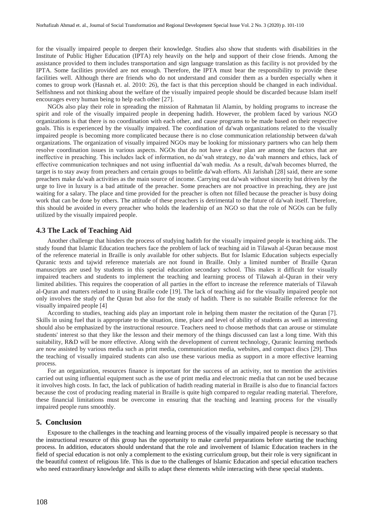for the visually impaired people to deepen their knowledge. Studies also show that students with disabilities in the Institute of Public Higher Education (IPTA) rely heavily on the help and support of their close friends. Among the assistance provided to them includes transportation and sign language translation as this facility is not provided by the IPTA. Some facilities provided are not enough. Therefore, the IPTA must bear the responsibility to provide these facilities well. Although there are friends who do not understand and consider them as a burden especially when it comes to group work (Hasnah et. al. 2010: 26), the fact is that this perception should be changed in each individual. Selfishness and not thinking about the welfare of the visually impaired people should be discarded because Islam itself encourages every human being to help each other [27].

NGOs also play their role in spreading the mission of Rahmatan lil Alamin, by holding programs to increase the spirit and role of the visually impaired people in deepening hadith. However, the problem faced by various NGO organizations is that there is no coordination with each other, and cause programs to be made based on their respective goals. This is experienced by the visually impaired. The coordination of da'wah organizations related to the visually impaired people is becoming more complicated because there is no close communication relationship between da'wah organizations. The organization of visually impaired NGOs may be looking for missionary partners who can help them resolve coordination issues in various aspects. NGOs that do not have a clear plan are among the factors that are ineffective in preaching. This includes lack of information, no da'wah strategy, no da'wah manners and ethics, lack of effective communication techniques and not using influential da'wah media. As a result, da'wah becomes blurred, the target is to stay away from preachers and certain groups to belittle da'wah efforts. Ali Jarishah [28] said, there are some preachers make da'wah activities as the main source of income. Carrying out da'wah without sincerity but driven by the urge to live in luxury is a bad attitude of the preacher. Some preachers are not proactive in preaching, they are just waiting for a salary. The place and time provided for the preacher is often not filled because the preacher is busy doing work that can be done by others. The attitude of these preachers is detrimental to the future of da'wah itself. Therefore, this should be avoided in every preacher who holds the leadership of an NGO so that the role of NGOs can be fully utilized by the visually impaired people.

#### **4.3 The Lack of Teaching Aid**

Another challenge that hinders the process of studying hadith for the visually impaired people is teaching aids. The study found that Islamic Education teachers face the problem of lack of teaching aid in Tilawah al-Quran because most of the reference material in Braille is only available for other subjects. But for Islamic Education subjects especially Quranic texts and tajwid reference materials are not found in Braille. Only a limited number of Braille Quran manuscripts are used by students in this special education secondary school. This makes it difficult for visually impaired teachers and students to implement the teaching and learning process of Tilawah al-Quran in their very limited abilities. This requires the cooperation of all parties in the effort to increase the reference materials of Tilawah al-Quran and matters related to it using Braille code [19]. The lack of teaching aid for the visually impaired people not only involves the study of the Quran but also for the study of hadith. There is no suitable Braille reference for the visually impaired people [4]

According to studies, teaching aids play an important role in helping them master the recitation of the Quran [7]. Skills in using fuel that is appropriate to the situation, time, place and level of ability of students as well as interesting should also be emphasized by the instructional resource. Teachers need to choose methods that can arouse or stimulate students' interest so that they like the lesson and their memory of the things discussed can last a long time. With this suitability, R&D will be more effective. Along with the development of current technology, Quranic learning methods are now assisted by various media such as print media, communication media, websites, and compact discs [29]. Thus the teaching of visually impaired students can also use these various media as support in a more effective learning process.

For an organization, resources finance is important for the success of an activity, not to mention the activities carried out using influential equipment such as the use of print media and electronic media that can not be used because it involves high costs. In fact, the lack of publication of hadith reading material in Braille is also due to financial factors because the cost of producing reading material in Braille is quite high compared to regular reading material. Therefore, these financial limitations must be overcome in ensuring that the teaching and learning process for the visually impaired people runs smoothly.

#### **5. Conclusion**

Exposure to the challenges in the teaching and learning process of the visually impaired people is necessary so that the instructional resource of this group has the opportunity to make careful preparations before starting the teaching process. In addition, educators should understand that the role and involvement of Islamic Education teachers in the field of special education is not only a complement to the existing curriculum group, but their role is very significant in the beautiful context of religious life. This is due to the challenges of Islamic Education and special education teachers who need extraordinary knowledge and skills to adapt these elements while interacting with these special students.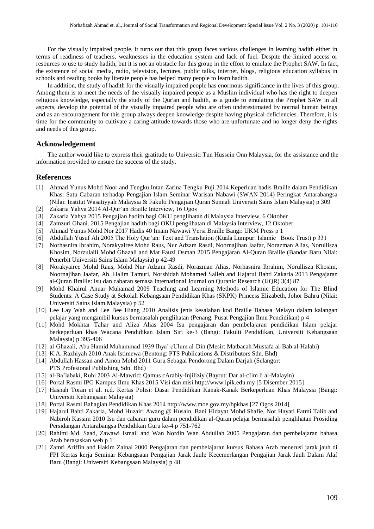For the visually impaired people, it turns out that this group faces various challenges in learning hadith either in terms of readiness of teachers, weaknesses in the education system and lack of fuel. Despite the limited access or resources to use to study hadith, but it is not an obstacle for this group in the effort to emulate the Prophet SAW. In fact, the existence of social media, radio, television, lectures, public talks, internet, blogs, religious education syllabus in schools and reading books by literate people has helped many people to learn hadith.

In addition, the study of hadith for the visually impaired people has enormous significance in the lives of this group. Among them is to meet the needs of the visually impaired people as a Muslim individual who has the right to deepen religious knowledge, especially the study of the Qur'an and hadith, as a guide to emulating the Prophet SAW in all aspects, develop the potential of the visually impaired people who are often underestimated by normal human beings and as an encouragement for this group always deepen knowledge despite having physical deficiencies. Therefore, it is time for the community to cultivate a caring attitude towards those who are unfortunate and no longer deny the rights and needs of this group.

#### **Acknowledgement**

The author would like to express their gratitude to Universiti Tun Hussein Onn Malaysia, for the assistance and the information provided to ensure the success of the study.

### **References**

- [1] Ahmad Yunus Mohd Noor and Tengku Intan Zarina Tengku Puji 2014 Keperluan hadis Braille dalam Pendidikan Khas: Satu Cabaran terhadap Pengajian Islam Seminar Warisan Nabawi (SWAN 2014) Peringkat Antarabangsa (Nilai: Institut Wasatiyyah Malaysia & Fakulti Pengajian Quran Sunnah Universiti Sains Islam Malaysia) p 309
- [2] Zakaria Yahya 2014 Al-Qur'an Braille Interview, 16 Ogos
- [3] Zakaria Yahya 2015 Pengajian hadith bagi OKU penglihatan di Malaysia Interview, 6 Oktober
- [4] Zamzuri Ghani. 2015 Pengajian hadith bagi OKU penglihatan di Malaysia Interview, 12 Oktober
- [5] Ahmad Yunus Mohd Nor 2017 Hadis 40 Imam Nawawi Versi Braille Bangi: UKM Press p 1
- [6] Abdullah Yusuf Ali 2005 The Holy Qur'an: Text and Translation (Kuala Lumpur: Islamic Book Trust) p 331
- [7] Norhasnira Ibrahim, Norakyairee Mohd Raus, Nur Adzam Rasdi, Noornajihan Jaafar, Norazman Alias, Norullisza Khosim, Norzulaili Mohd Ghazali and Mat Fauzi Osman 2015 Pengajaran Al-Quran Braille (Bandar Baru Nilai: Penerbit Universiti Sains Islam Malaysia) p 42-49
- [8] Norakyairee Mohd Raus, Mohd Nur Adzam Rasdi, Norazman Alias, Norhasnira Ibrahim, Norullisza Khosim, Noornajihan Jaafar, Ab. Halim Tamuri, Norshidah Mohamed Salleh and Hajarul Bahti Zakaria 2013 Pengajaran al-Quran Braille: Isu dan cabaran semasa International Journal on Quranic Research (IJQR) 3(4) 87
- [9] Mohd Khairul Anuar Muhamad 2009 Teaching and Learning Methods of Islamic Education for The Blind Students: A Case Study at Sekolah Kebangsaan Pendidikan Khas (SKPK) Princess Elizabeth, Johor Bahru (Nilai: Universiti Sains Islam Malaysia) p 52
- [10] Lee Lay Wah and Lee Bee Hiang 2010 Analisis jenis kesalahan kod Braille Bahasa Melayu dalam kalangan pelajar yang mengambil kursus bermasalah penglihatan (Penang: Pusat Pengajian Ilmu Pendidikan) p 4
- [11] Mohd Mokhtar Tahar and Aliza Alias 2004 Isu pengajaran dan pembelajaran pendidikan Islam pelajar berkeperluan khas Wacana Pendidikan Islam Siri ke-3 (Bangi: Fakulti Pendidikan, Universiti Kebangsaan Malaysia) p 395-406
- [12] al-Ghazali, Abu Hamid Muhammad 1939 Ihya' cUlum al-Din (Mesir: Matbacah Mustafa al-Bab al-Halabi)
- [13] K.A. Razhiyah 2010 Anak Istimewa (Bentong: PTS Publications & Distributors Sdn. Bhd)
- [14] Abdullah Hassan and Ainon Mohd 2011 Guru Sebagai Pendorong Dalam Darjah (Selangor: PTS Profesional Publishing Sdn. Bhd)
- [15] al-Ba'labaki, Ruhi 2003 Al-Mawrid: Qamus cArabiy-Injiliziy (Bayrut: Dar al-cIlm li al-Malayin)
- [16] Portal Rasmi IPG Kampus Ilmu Khas 2015 Visi dan misi http://www.ipik.edu.my [5 Disember 2015]
- [17] Hasnah Toran et al. n.d. Kertas Polisi: Dasar Pendidikan Kanak-Kanak Berkeperluan Khas Malaysia (Bangi: Universiti Kebangsaan Malaysia)
- [18] Portal Rasmi Bahagian Pendidikan Khas 2014 http://www.moe.gov.my/bpkhas [27 Ogos 2014]
- [19] Hajarul Bahti Zakaria, Mohd Huzairi Awang @ Husain, Bani Hidayat Mohd Shafie, Nor Hayati Fatmi Talib and Nabiroh Kassim 2010 Isu dan cabaran guru dalam pendidikan al-Quran pelajar bermasalah penglihatan Prosiding Persidangan Antarabangsa Pendidikan Guru ke-4 p 751-762
- [20] Rahimi Md. Saad, Zawawi Ismail and Wan Nordin Wan Abdullah 2005 Pengajaran dan pembelajaran bahasa Arab berasaskan web p 1
- [21] Zamri Ariffin and Hakim Zainal 2000 Pengajaran dan pembelajaran kursus Bahasa Arab menerusi jarak jauh di FPI Kertas kerja Seminar Kebangsaan Pengajian Jarak Jauh: Kecemerlangan Pengajian Jarak Jauh Dalam Alaf Baru (Bangi: Universiti Kebangsaan Malaysia) p 48